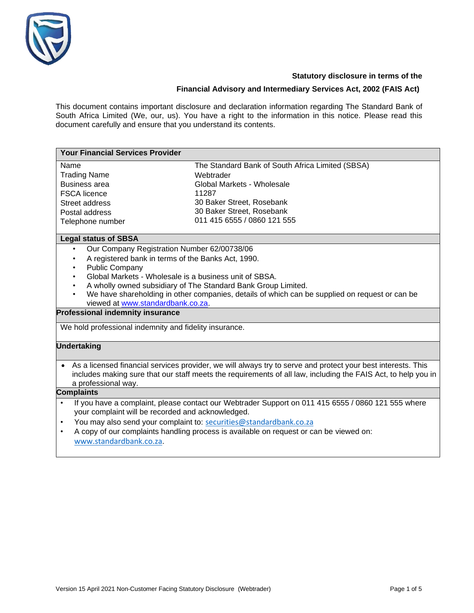

### **Statutory disclosure in terms of the**

# **Financial Advisory and Intermediary Services Act, 2002 (FAIS Act)**

This document contains important disclosure and declaration information regarding The Standard Bank of South Africa Limited (We, our, us). You have a right to the information in this notice. Please read this document carefully and ensure that you understand its contents.

| <b>Your Financial Services Provider</b>                                                                                                                                                                                                                                                                                                                                                                                |                                                                                                                                                                                               |  |  |  |
|------------------------------------------------------------------------------------------------------------------------------------------------------------------------------------------------------------------------------------------------------------------------------------------------------------------------------------------------------------------------------------------------------------------------|-----------------------------------------------------------------------------------------------------------------------------------------------------------------------------------------------|--|--|--|
| Name<br><b>Trading Name</b><br><b>Business area</b><br><b>FSCA</b> licence<br>Street address<br>Postal address<br>Telephone number                                                                                                                                                                                                                                                                                     | The Standard Bank of South Africa Limited (SBSA)<br>Webtrader<br>Global Markets - Wholesale<br>11287<br>30 Baker Street, Rosebank<br>30 Baker Street, Rosebank<br>011 415 6555 / 0860 121 555 |  |  |  |
| <b>Legal status of SBSA</b>                                                                                                                                                                                                                                                                                                                                                                                            |                                                                                                                                                                                               |  |  |  |
| Our Company Registration Number 62/00738/06<br>A registered bank in terms of the Banks Act, 1990.<br>$\bullet$<br><b>Public Company</b><br>$\bullet$<br>Global Markets - Wholesale is a business unit of SBSA.<br>A wholly owned subsidiary of The Standard Bank Group Limited.<br>We have shareholding in other companies, details of which can be supplied on request or can be<br>viewed at www.standardbank.co.za. |                                                                                                                                                                                               |  |  |  |
| <b>Professional indemnity insurance</b>                                                                                                                                                                                                                                                                                                                                                                                |                                                                                                                                                                                               |  |  |  |
| We hold professional indemnity and fidelity insurance.                                                                                                                                                                                                                                                                                                                                                                 |                                                                                                                                                                                               |  |  |  |
| <b>Undertaking</b>                                                                                                                                                                                                                                                                                                                                                                                                     |                                                                                                                                                                                               |  |  |  |
| As a licensed financial services provider, we will always try to serve and protect your best interests. This<br>$\bullet$<br>includes making sure that our staff meets the requirements of all law, including the FAIS Act, to help you in<br>a professional way.                                                                                                                                                      |                                                                                                                                                                                               |  |  |  |
| <b>Complaints</b>                                                                                                                                                                                                                                                                                                                                                                                                      |                                                                                                                                                                                               |  |  |  |
| If you have a complaint, please contact our Webtrader Support on 011 415 6555 / 0860 121 555 where<br>$\bullet$<br>your complaint will be recorded and acknowledged.<br>You may also send your complaint to: securities@standardbank.co.za<br>$\bullet$<br>A copy of our complaints handling process is available on request or can be viewed on:<br>$\bullet$<br>www.standardbank.co.za.                              |                                                                                                                                                                                               |  |  |  |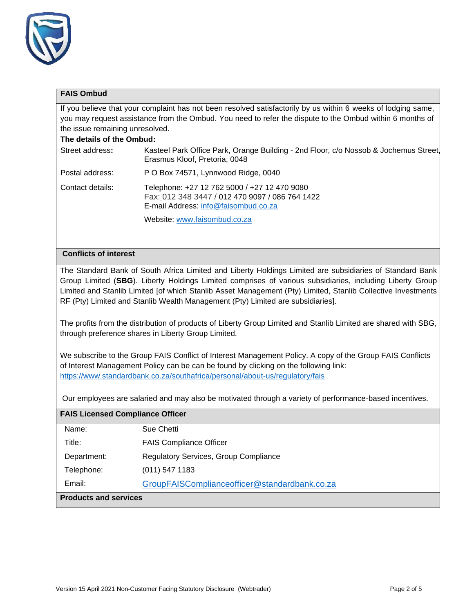

# **FAIS Ombud**

If you believe that your complaint has not been resolved satisfactorily by us within 6 weeks of lodging same, you may request assistance from the Ombud. You need to refer the dispute to the Ombud within 6 months of the issue remaining unresolved.

### **The details of the Ombud:**

| Street address:  | Kasteel Park Office Park, Orange Building - 2nd Floor, c/o Nossob & Jochemus Street<br>Erasmus Kloof, Pretoria, 0048                    |
|------------------|-----------------------------------------------------------------------------------------------------------------------------------------|
| Postal address:  | P O Box 74571, Lynnwood Ridge, 0040                                                                                                     |
| Contact details: | Telephone: +27 12 762 5000 / +27 12 470 9080<br>Fax: 012 348 3447 / 012 470 9097 / 086 764 1422<br>E-mail Address: info@faisombud.co.za |
|                  | Website: www.faisombud.co.za                                                                                                            |

# **Conflicts of interest**

The Standard Bank of South Africa Limited and Liberty Holdings Limited are subsidiaries of Standard Bank Group Limited (**SBG**). Liberty Holdings Limited comprises of various subsidiaries, including Liberty Group Limited and Stanlib Limited [of which Stanlib Asset Management (Pty) Limited, Stanlib Collective Investments RF (Pty) Limited and Stanlib Wealth Management (Pty) Limited are subsidiaries].

The profits from the distribution of products of Liberty Group Limited and Stanlib Limited are shared with SBG, through preference shares in Liberty Group Limited.

We subscribe to the Group FAIS Conflict of Interest Management Policy. A copy of the Group FAIS Conflicts of Interest Management Policy can be can be found by clicking on the following link: <https://www.standardbank.co.za/southafrica/personal/about-us/regulatory/fais>

Our employees are salaried and may also be motivated through a variety of performance-based incentives.

| <b>FAIS Licensed Compliance Officer</b> |                                               |  |
|-----------------------------------------|-----------------------------------------------|--|
| Name:                                   | Sue Chetti                                    |  |
| Title:                                  | <b>FAIS Compliance Officer</b>                |  |
| Department:                             | <b>Regulatory Services, Group Compliance</b>  |  |
| Telephone:                              | $(011)$ 547 1183                              |  |
| Email:                                  | GroupFAISComplianceofficer@standardbank.co.za |  |
| <b>Products and services</b>            |                                               |  |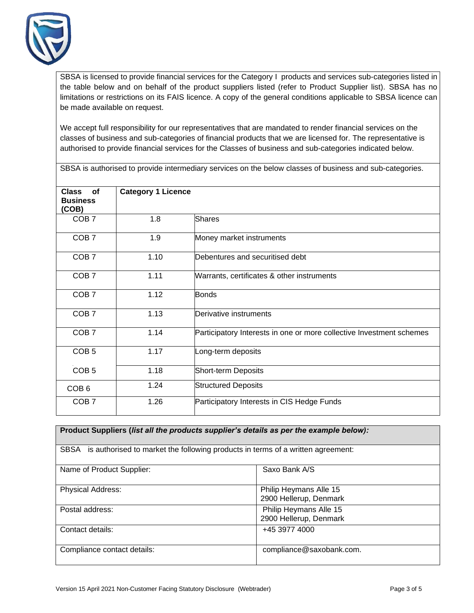

SBSA is licensed to provide financial services for the Category I products and services sub-categories listed in the table below and on behalf of the product suppliers listed (refer to Product Supplier list). SBSA has no limitations or restrictions on its FAIS licence. A copy of the general conditions applicable to SBSA licence can be made available on request.

We accept full responsibility for our representatives that are mandated to render financial services on the classes of business and sub-categories of financial products that we are licensed for. The representative is authorised to provide financial services for the Classes of business and sub-categories indicated below.

SBSA is authorised to provide intermediary services on the below classes of business and sub-categories.

| <b>Class</b><br><b>of</b><br><b>Business</b><br>(COB) | <b>Category 1 Licence</b> |                                                                      |
|-------------------------------------------------------|---------------------------|----------------------------------------------------------------------|
| COB <sub>7</sub>                                      | 1.8                       | <b>Shares</b>                                                        |
| COB <sub>7</sub>                                      | 1.9                       | Money market instruments                                             |
| COB <sub>7</sub>                                      | 1.10                      | Debentures and securitised debt                                      |
| COB <sub>7</sub>                                      | 1.11                      | Warrants, certificates & other instruments                           |
| COB <sub>7</sub>                                      | 1.12                      | <b>Bonds</b>                                                         |
| COB <sub>7</sub>                                      | 1.13                      | Derivative instruments                                               |
| COB <sub>7</sub>                                      | 1.14                      | Participatory Interests in one or more collective Investment schemes |
| COB <sub>5</sub>                                      | 1.17                      | Long-term deposits                                                   |
| COB <sub>5</sub>                                      | 1.18                      | Short-term Deposits                                                  |
| COB <sub>6</sub>                                      | 1.24                      | <b>Structured Deposits</b>                                           |
| COB <sub>7</sub>                                      | 1.26                      | Participatory Interests in CIS Hedge Funds                           |

| Product Suppliers (list all the products supplier's details as per the example below): |                          |  |  |
|----------------------------------------------------------------------------------------|--------------------------|--|--|
|                                                                                        |                          |  |  |
| SBSA is authorised to market the following products in terms of a written agreement:   |                          |  |  |
|                                                                                        |                          |  |  |
| Name of Product Supplier:                                                              | Saxo Bank A/S            |  |  |
|                                                                                        |                          |  |  |
| <b>Physical Address:</b>                                                               | Philip Heymans Alle 15   |  |  |
|                                                                                        | 2900 Hellerup, Denmark   |  |  |
| Postal address:                                                                        | Philip Heymans Alle 15   |  |  |
|                                                                                        | 2900 Hellerup, Denmark   |  |  |
| Contact details:                                                                       | +45 3977 4000            |  |  |
|                                                                                        |                          |  |  |
| Compliance contact details:                                                            | compliance@saxobank.com. |  |  |
|                                                                                        |                          |  |  |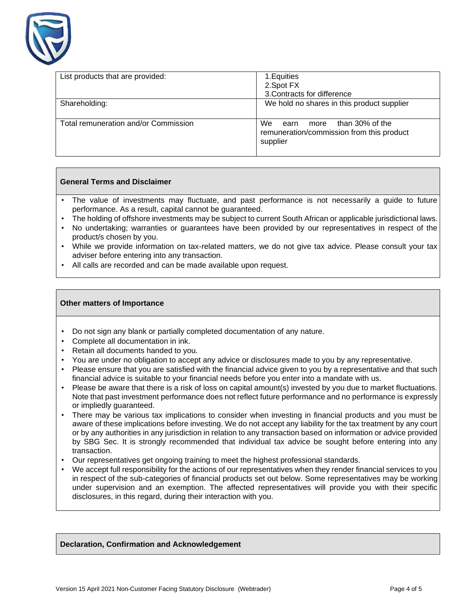

| List products that are provided:     | 1. Equities<br>2. Spot FX<br>3. Contracts for difference                                    |
|--------------------------------------|---------------------------------------------------------------------------------------------|
| Shareholding:                        | We hold no shares in this product supplier                                                  |
| Total remuneration and/or Commission | more than 30% of the<br>We<br>earn<br>remuneration/commission from this product<br>supplier |

### **General Terms and Disclaimer**

- The value of investments may fluctuate, and past performance is not necessarily a guide to future performance. As a result, capital cannot be guaranteed.
- The holding of offshore investments may be subject to current South African or applicable jurisdictional laws.
- No undertaking; warranties or guarantees have been provided by our representatives in respect of the product/s chosen by you.
- While we provide information on tax-related matters, we do not give tax advice. Please consult your tax adviser before entering into any transaction.
- All calls are recorded and can be made available upon request.

#### **Other matters of Importance**

- Do not sign any blank or partially completed documentation of any nature.
- Complete all documentation in ink.
- Retain all documents handed to you.
- You are under no obligation to accept any advice or disclosures made to you by any representative.
- Please ensure that you are satisfied with the financial advice given to you by a representative and that such financial advice is suitable to your financial needs before you enter into a mandate with us.
- Please be aware that there is a risk of loss on capital amount(s) invested by you due to market fluctuations. Note that past investment performance does not reflect future performance and no performance is expressly or impliedly guaranteed.
- There may be various tax implications to consider when investing in financial products and you must be aware of these implications before investing. We do not accept any liability for the tax treatment by any court or by any authorities in any jurisdiction in relation to any transaction based on information or advice provided by SBG Sec. It is strongly recommended that individual tax advice be sought before entering into any transaction.
- Our representatives get ongoing training to meet the highest professional standards.
- We accept full responsibility for the actions of our representatives when they render financial services to you in respect of the sub-categories of financial products set out below. Some representatives may be working under supervision and an exemption. The affected representatives will provide you with their specific disclosures, in this regard, during their interaction with you.

#### **Declaration, Confirmation and Acknowledgement**